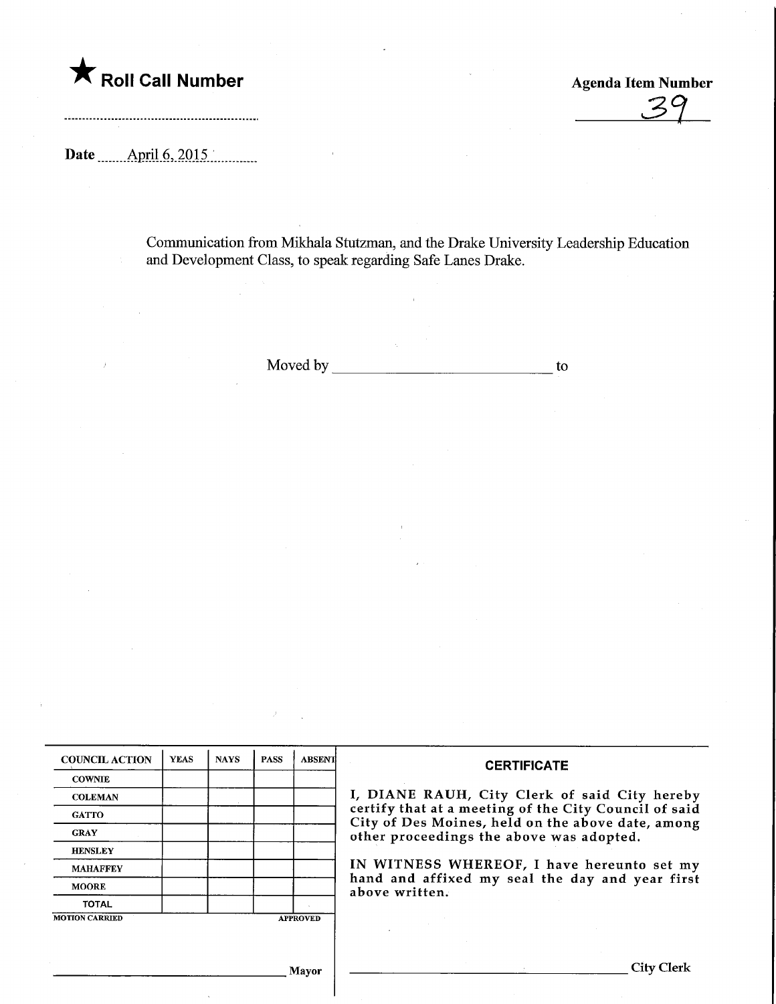

Agenda Item Number  $Z<sub>c</sub>$ 

City Clerk

Date ........April.6,.2015.,

Communication from Mikhala Stutzman, and the Drake University Leadership Education and Development Class, to speak regarding Safe Lanes Drake.

Moved by to to the contract of the contract of the contract of the contract of the contract of the contract of the contract of the contract of the contract of the contract of the contract of the contract of the contract of

| <b>COUNCIL ACTION</b> | <b>YEAS</b> | <b>NAYS</b> | <b>PASS</b> | <b>ABSENT</b>   | <b>CERTIFICATE</b>                                                                                                                                                                                      |  |  |
|-----------------------|-------------|-------------|-------------|-----------------|---------------------------------------------------------------------------------------------------------------------------------------------------------------------------------------------------------|--|--|
| <b>COWNIE</b>         |             |             |             |                 |                                                                                                                                                                                                         |  |  |
| <b>COLEMAN</b>        |             |             |             |                 | I, DIANE RAUH, City Clerk of said City hereby<br>certify that at a meeting of the City Council of said<br>City of Des Moines, held on the above date, among<br>other proceedings the above was adopted. |  |  |
| <b>GATTO</b>          |             |             |             |                 |                                                                                                                                                                                                         |  |  |
| <b>GRAY</b>           |             |             |             |                 |                                                                                                                                                                                                         |  |  |
| <b>HENSLEY</b>        |             |             |             |                 |                                                                                                                                                                                                         |  |  |
| <b>MAHAFFEY</b>       |             |             |             |                 | IN WITNESS WHEREOF, I have hereunto set my<br>hand and affixed my seal the day and year first<br>above written.                                                                                         |  |  |
| <b>MOORE</b>          |             |             |             |                 |                                                                                                                                                                                                         |  |  |
| <b>TOTAL</b>          |             |             |             |                 |                                                                                                                                                                                                         |  |  |
| <b>MOTION CARRIED</b> |             |             |             | <b>APPROVED</b> |                                                                                                                                                                                                         |  |  |

Mayor

 $\bar{\Delta}$